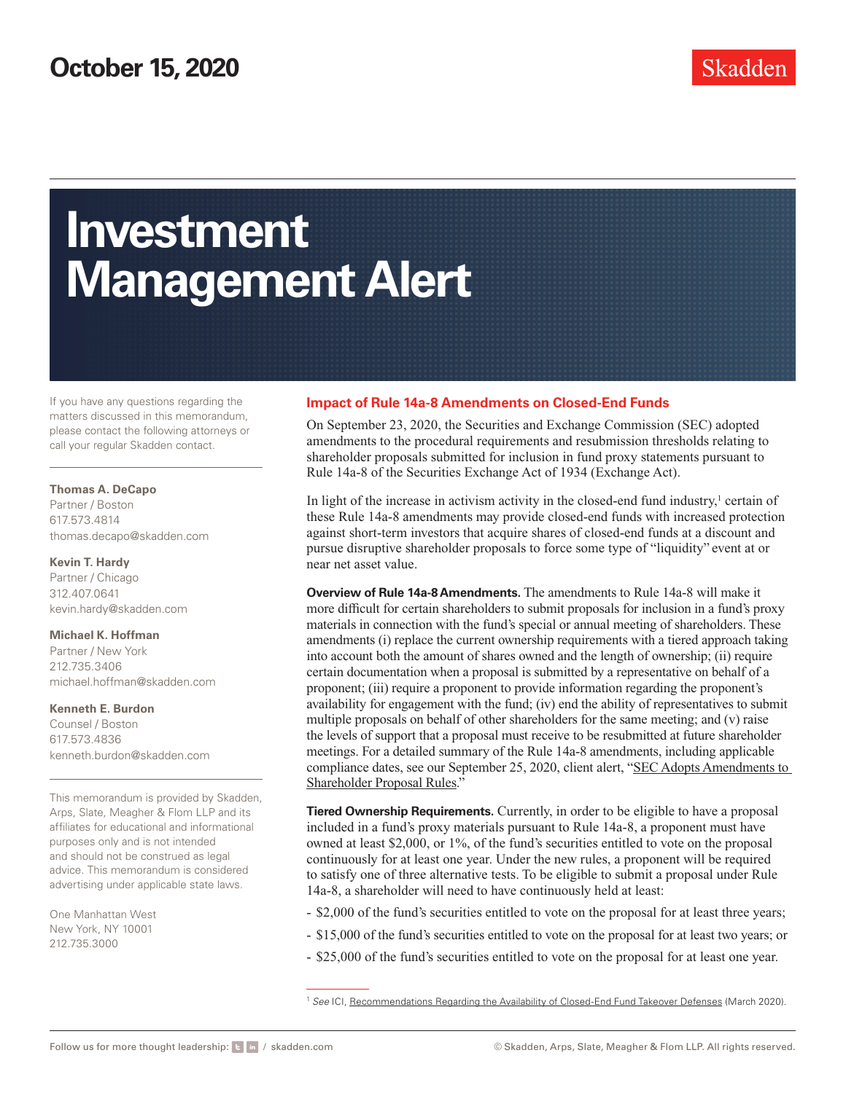# **Investment Management Alert**

If you have any questions regarding the matters discussed in this memorandum, please contact the following attorneys or call your regular Skadden contact.

#### **Thomas A. DeCapo**

Partner / Boston 617.573.4814 [thomas.decapo@skadden.com](mailto:thomas.decapo@skadden.com)

#### **Kevin T. Hardy**

Partner / Chicago 312.407.0641 [kevin.hardy@skadden.com](mailto:kevin.hardy@skadden.com)

#### **Michael K. Hoffman**

Partner / New York 212.735.3406 [michael.hoffman@skadden.com](mailto:michael.hoffman@skadden.com)

#### **Kenneth E. Burdon**

Counsel / Boston 617.573.4836 [kenneth.burdon@skadden.com](mailto:kenneth.burdon@skadden.com)

This memorandum is provided by Skadden, Arps, Slate, Meagher & Flom LLP and its affiliates for educational and informational purposes only and is not intended and should not be construed as legal advice. This memorandum is considered advertising under applicable state laws.

One Manhattan West New York, NY 10001 212.735.3000

### **Impact of Rule 14a-8 Amendments on Closed-End Funds**

On September 23, 2020, the Securities and Exchange Commission (SEC) adopted amendments to the procedural requirements and resubmission thresholds relating to shareholder proposals submitted for inclusion in fund proxy statements pursuant to Rule 14a-8 of the Securities Exchange Act of 1934 (Exchange Act).

In light of the increase in activism activity in the closed-end fund industry, $\frac{1}{1}$  certain of these Rule 14a-8 amendments may provide closed-end funds with increased protection against short-term investors that acquire shares of closed-end funds at a discount and pursue disruptive shareholder proposals to force some type of "liquidity" event at or near net asset value.

**Overview of Rule 14a-8 Amendments.** The amendments to Rule 14a-8 will make it more difficult for certain shareholders to submit proposals for inclusion in a fund's proxy materials in connection with the fund's special or annual meeting of shareholders. These amendments (i) replace the current ownership requirements with a tiered approach taking into account both the amount of shares owned and the length of ownership; (ii) require certain documentation when a proposal is submitted by a representative on behalf of a proponent; (iii) require a proponent to provide information regarding the proponent's availability for engagement with the fund; (iv) end the ability of representatives to submit multiple proposals on behalf of other shareholders for the same meeting; and (v) raise the levels of support that a proposal must receive to be resubmitted at future shareholder meetings. For a detailed summary of the Rule 14a-8 amendments, including applicable compliance dates, see our September 25, 2020, client alert, "[SEC Adopts Amendments to](https://www.skadden.com/insights/publications/2020/09/sec-adopts-amendments)  [Shareholder Proposal Rules](https://www.skadden.com/insights/publications/2020/09/sec-adopts-amendments)."

**Tiered Ownership Requirements.** Currently, in order to be eligible to have a proposal included in a fund's proxy materials pursuant to Rule 14a-8, a proponent must have owned at least \$2,000, or 1%, of the fund's securities entitled to vote on the proposal continuously for at least one year. Under the new rules, a proponent will be required to satisfy one of three alternative tests. To be eligible to submit a proposal under Rule 14a-8, a shareholder will need to have continuously held at least:

- \$2,000 of the fund's securities entitled to vote on the proposal for at least three years;
- \$15,000 of the fund's securities entitled to vote on the proposal for at least two years; or
- \$25,000 of the fund's securities entitled to vote on the proposal for at least one year.

<sup>1</sup> *See* ICI, [Recommendations Regarding the Availability of Closed-End Fund Takeover Defenses](https://skadden.admin.onenorth.com/-/media/files/publications/2020/10/impact-of-rule-14a-8/20_ltr_cef.pdf) (March 2020).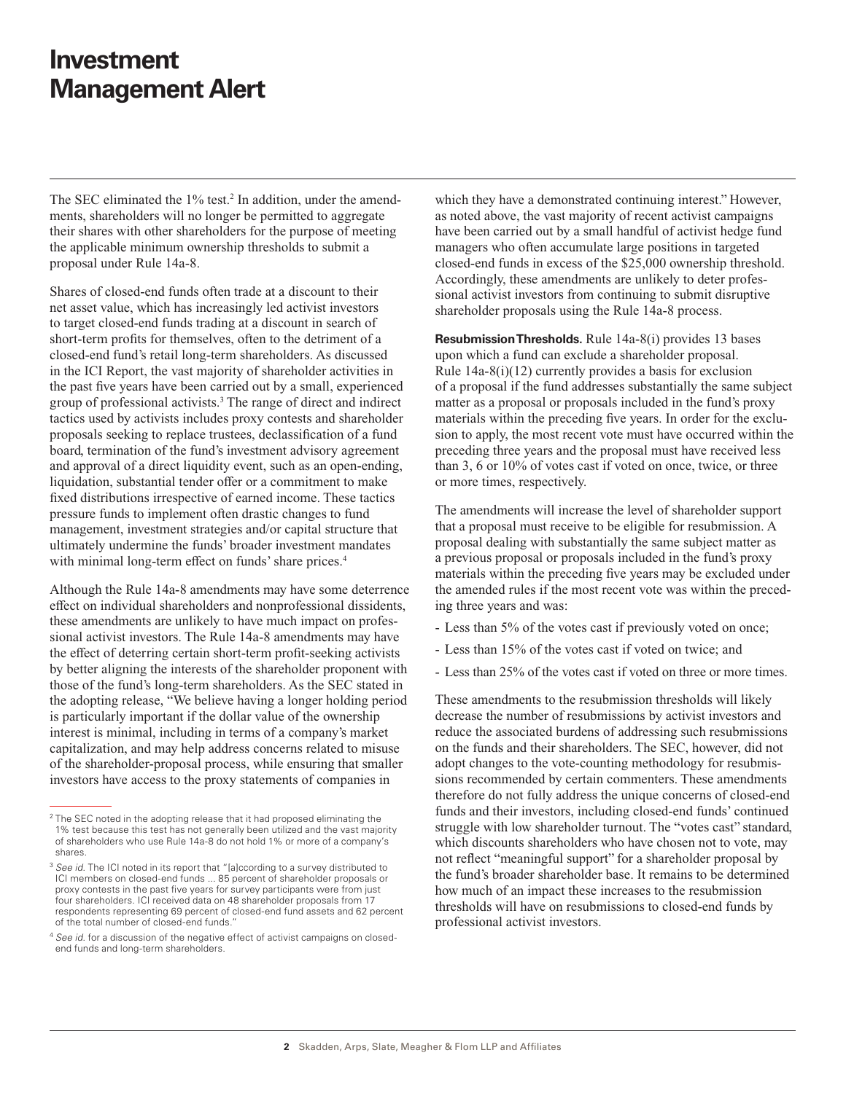## **Investment Management Alert**

The SEC eliminated the 1% test.<sup>2</sup> In addition, under the amendments, shareholders will no longer be permitted to aggregate their shares with other shareholders for the purpose of meeting the applicable minimum ownership thresholds to submit a proposal under Rule 14a-8.

Shares of closed-end funds often trade at a discount to their net asset value, which has increasingly led activist investors to target closed-end funds trading at a discount in search of short-term profits for themselves, often to the detriment of a closed-end fund's retail long-term shareholders. As discussed in the ICI Report, the vast majority of shareholder activities in the past five years have been carried out by a small, experienced group of professional activists.3 The range of direct and indirect tactics used by activists includes proxy contests and shareholder proposals seeking to replace trustees, declassification of a fund board, termination of the fund's investment advisory agreement and approval of a direct liquidity event, such as an open-ending, liquidation, substantial tender offer or a commitment to make fixed distributions irrespective of earned income. These tactics pressure funds to implement often drastic changes to fund management, investment strategies and/or capital structure that ultimately undermine the funds' broader investment mandates with minimal long-term effect on funds' share prices.<sup>4</sup>

Although the Rule 14a-8 amendments may have some deterrence effect on individual shareholders and nonprofessional dissidents, these amendments are unlikely to have much impact on professional activist investors. The Rule 14a-8 amendments may have the effect of deterring certain short-term profit-seeking activists by better aligning the interests of the shareholder proponent with those of the fund's long-term shareholders. As the SEC stated in the adopting release, "We believe having a longer holding period is particularly important if the dollar value of the ownership interest is minimal, including in terms of a company's market capitalization, and may help address concerns related to misuse of the shareholder-proposal process, while ensuring that smaller investors have access to the proxy statements of companies in

which they have a demonstrated continuing interest." However, as noted above, the vast majority of recent activist campaigns have been carried out by a small handful of activist hedge fund managers who often accumulate large positions in targeted closed-end funds in excess of the \$25,000 ownership threshold. Accordingly, these amendments are unlikely to deter professional activist investors from continuing to submit disruptive shareholder proposals using the Rule 14a-8 process.

**Resubmission Thresholds.** Rule 14a-8(i) provides 13 bases upon which a fund can exclude a shareholder proposal. Rule 14a-8(i)(12) currently provides a basis for exclusion of a proposal if the fund addresses substantially the same subject matter as a proposal or proposals included in the fund's proxy materials within the preceding five years. In order for the exclusion to apply, the most recent vote must have occurred within the preceding three years and the proposal must have received less than 3, 6 or 10% of votes cast if voted on once, twice, or three or more times, respectively.

The amendments will increase the level of shareholder support that a proposal must receive to be eligible for resubmission. A proposal dealing with substantially the same subject matter as a previous proposal or proposals included in the fund's proxy materials within the preceding five years may be excluded under the amended rules if the most recent vote was within the preceding three years and was:

- Less than 5% of the votes cast if previously voted on once;
- Less than 15% of the votes cast if voted on twice; and
- Less than 25% of the votes cast if voted on three or more times.

These amendments to the resubmission thresholds will likely decrease the number of resubmissions by activist investors and reduce the associated burdens of addressing such resubmissions on the funds and their shareholders. The SEC, however, did not adopt changes to the vote-counting methodology for resubmissions recommended by certain commenters. These amendments therefore do not fully address the unique concerns of closed-end funds and their investors, including closed-end funds' continued struggle with low shareholder turnout. The "votes cast" standard, which discounts shareholders who have chosen not to vote, may not reflect "meaningful support" for a shareholder proposal by the fund's broader shareholder base. It remains to be determined how much of an impact these increases to the resubmission thresholds will have on resubmissions to closed-end funds by professional activist investors.

 $2$  The SEC noted in the adopting release that it had proposed eliminating the 1% test because this test has not generally been utilized and the vast majority of shareholders who use Rule 14a-8 do not hold 1% or more of a company's shares.

<sup>&</sup>lt;sup>3</sup> See id. The ICI noted in its report that "[a]ccording to a survey distributed to ICI members on closed-end funds ... 85 percent of shareholder proposals or proxy contests in the past five years for survey participants were from just four shareholders. ICI received data on 48 shareholder proposals from 17 respondents representing 69 percent of closed-end fund assets and 62 percent of the total number of closed-end funds."

<sup>4</sup> *See id.* for a discussion of the negative effect of activist campaigns on closedend funds and long-term shareholders.